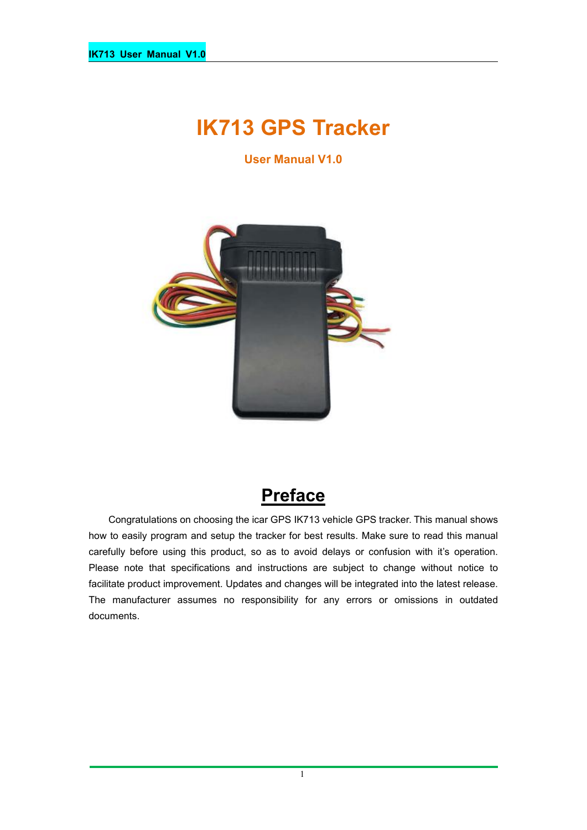# **IK713 GPS Tracker**

**User Manual V1.0**



## **Preface**

Congratulations on choosing the icar GPS IK713 vehicle GPS tracker. This manual shows how to easily program and setup the tracker for best results. Make sure to read this manual carefully before using this product, so as to avoid delays or confusion with it's operation. Please note that specifications and instructions are subject to change without notice to facilitate product improvement. Updates and changes will be integrated into the latest release. The manufacturer assumes no responsibility for any errors or omissions in outdated documents.

1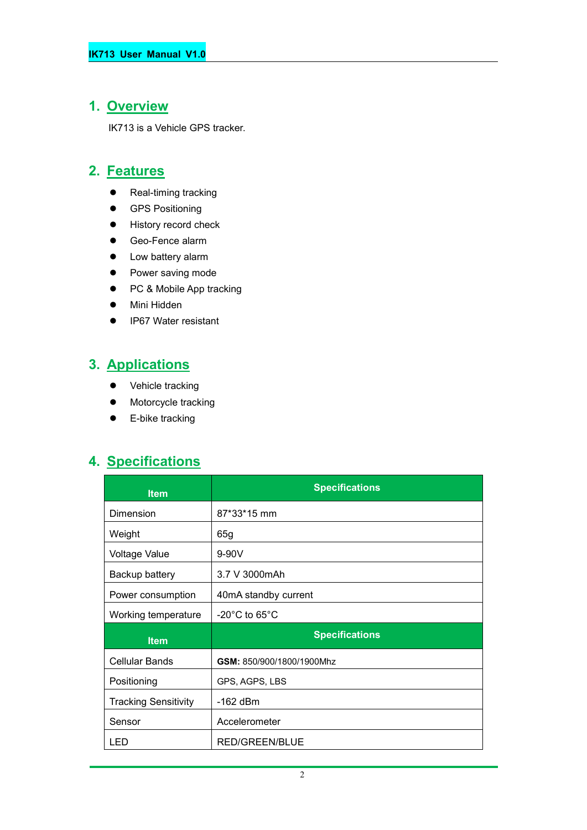#### **1. Overview**

IK713 is a Vehicle GPS tracker.

#### **2. Features**

- Real-timing tracking
- **•** GPS Positioning
- **•** History record check
- Geo-Fence alarm
- Low battery alarm
- Power saving mode
- PC & Mobile App tracking
- Mini Hidden
- IP67 Water resistant

## **3. Applications**

- Vehicle tracking
- $\bullet$  Motorcycle tracking
- **•** E-bike tracking

## **4. Specifications**

| <b>Item</b>                 | <b>Specifications</b>              |  |
|-----------------------------|------------------------------------|--|
| Dimension                   | 87*33*15 mm                        |  |
| Weight                      | 65g                                |  |
| <b>Voltage Value</b>        | 9-90V                              |  |
| Backup battery              | 3.7 V 3000mAh                      |  |
| Power consumption           | 40mA standby current               |  |
| Working temperature         | $-20^{\circ}$ C to 65 $^{\circ}$ C |  |
| <b>Item</b>                 | <b>Specifications</b>              |  |
| <b>Cellular Bands</b>       | GSM: 850/900/1800/1900Mhz          |  |
| Positioning                 | GPS, AGPS, LBS                     |  |
| <b>Tracking Sensitivity</b> | -162 dBm                           |  |
| Sensor                      | Accelerometer                      |  |
| LED.                        | <b>RED/GREEN/BLUE</b>              |  |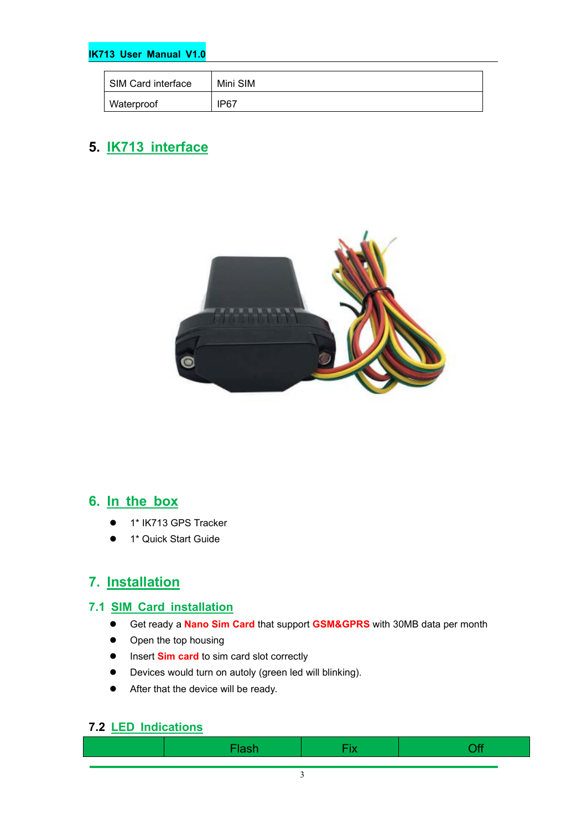#### **IK713 User Manual V1.0**

| SIM Card interface | Mini SIM |
|--------------------|----------|
| Waterproof         | IP67     |

### **5. IK713 interface**



#### **6. In the box**

- 1\* IK713 GPS Tracker
- **1** 1<sup>\*</sup> Quick Start Guide

#### **7. Installation**

#### **7.1 SIM Card installation**

- Get ready a **Nano Sim Card** that support **GSM&GPRS** with30MB data per month
- Open the top housing
- **•** Insert **Sim card** to sim card slot correctly
- Devices would turn on autoly (green led will blinking).
- After that the device will be ready.

#### **7.2 LED Indications**

| . .<br>$\sim$ | . .<br><b>Contract Contract Contract</b> | - -- |
|---------------|------------------------------------------|------|
|               |                                          |      |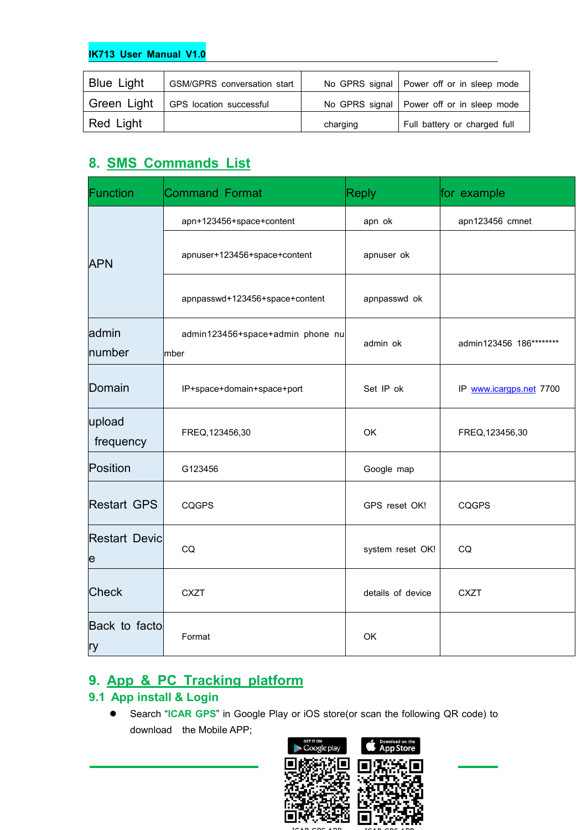#### **IK713 User Manual V1.0**

| <b>Blue Light</b> | <b>GSM/GPRS</b> conversation start |          | No GPRS signal   Power off or in sleep mode |
|-------------------|------------------------------------|----------|---------------------------------------------|
| Green Light       | GPS location successful            |          | No GPRS signal   Power off or in sleep mode |
| Red Light         |                                    | charging | Full battery or charged full                |

## **8. SMS Commands List**

| Function                  | <b>Command Format</b>                    | <b>Reply</b>      | for example             |
|---------------------------|------------------------------------------|-------------------|-------------------------|
|                           | apn+123456+space+content                 | apn ok            | apn123456 cmnet         |
| <b>APN</b>                | apnuser+123456+space+content             | apnuser ok        |                         |
|                           | apnpasswd+123456+space+content           | apnpasswd ok      |                         |
| admin<br>number           | admin123456+space+admin phone nu<br>mber | admin ok          | admin123456 186******** |
| Domain                    | IP+space+domain+space+port               | Set IP ok         | IP www.icargps.net 7700 |
| upload<br>frequency       | FREQ, 123456, 30                         | OK                | FREQ, 123456, 30        |
| Position                  | G123456                                  | Google map        |                         |
| <b>Restart GPS</b>        | <b>CQGPS</b>                             | GPS reset OK!     | <b>CQGPS</b>            |
| <b>Restart Devic</b><br>e | CQ                                       | system reset OK!  | CQ                      |
| <b>Check</b>              | <b>CXZT</b>                              | details of device | <b>CXZT</b>             |
| Back to facto<br> ry      | Format                                   | OK                |                         |

## **9. App & PC Tracking platform**

#### **9.1 App install & Login**

 Search "**ICAR GPS**" in Google Play or iOS store(or scan the following QR code) to download the Mobile APP;

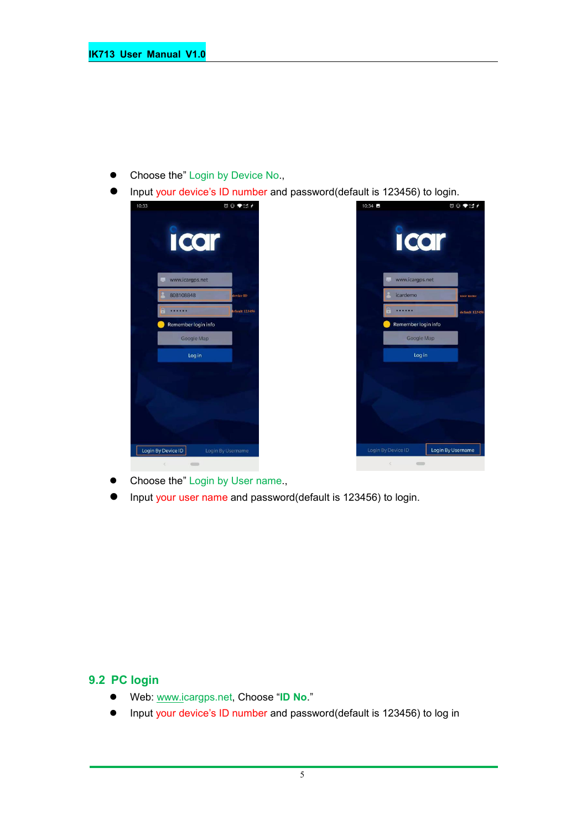- Choose the" Login by Device No.,
- Input your device's ID number and password(default is 123456) to login.



- Choose the" Login by User name.,
- Input your user name and password(default is 123456) to login.

#### **9.2 PC login**

- Web: [www.ic](http://www.trackits.com)argps.net, Choose "**ID No**."
- Input your device's ID number and password(default is 123456) to log in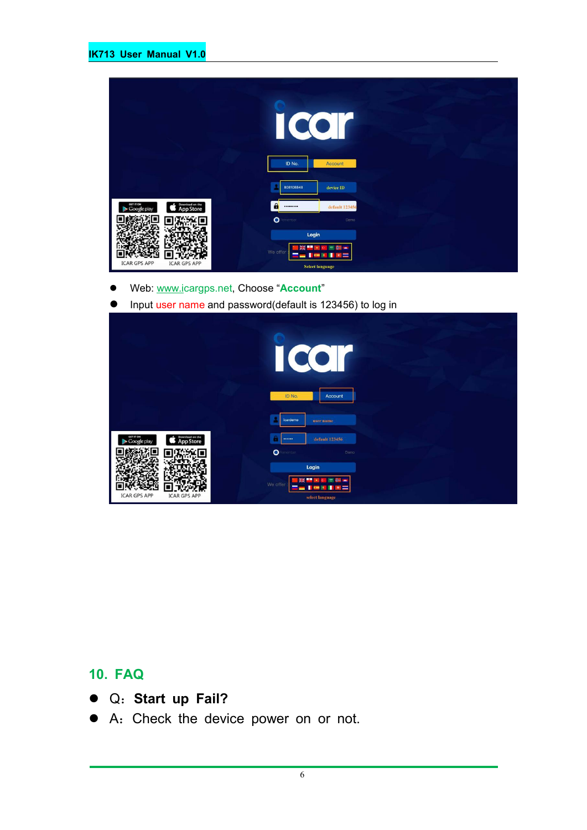|                                                                 | L.<br>ID No.<br>Account                                            |
|-----------------------------------------------------------------|--------------------------------------------------------------------|
|                                                                 | 808108848<br>device ID                                             |
| Download on the<br>GET IT ON<br><b>App Store</b><br>Google play | $\mathbf{a}$<br>default 123456<br>                                 |
|                                                                 | $\bullet$<br>enember<br>Demo                                       |
| <b>ICAR GPS APP</b><br><b>ICAR GPS APP</b>                      | Login<br>We offer<br>٠<br>$\overline{a}$<br><b>Select language</b> |

- Web: [www.ic](http://www.trackits.com)argps.net, Choose "**Account**"
- **Input user name and password(default is 123456) to log in**

|                                                          | $\bullet^\top$<br>$\bullet$<br>$\big($                                                          |
|----------------------------------------------------------|-------------------------------------------------------------------------------------------------|
|                                                          | ID No.<br>Account<br>icardemo<br>user name                                                      |
| GET IT ON<br>Download on the<br>App Store<br>Google play | default 123456<br>                                                                              |
|                                                          | $\bullet$<br>enember<br>Demo                                                                    |
| <b>ICAR GPS APP</b><br><b>ICAR GPS APP</b>               | Login<br>m<br><b>PART</b><br>We offer<br>o.<br>n<br>=<br>$\overline{a}$<br>÷<br>select language |

## **10. FAQ**

- Q:**Start up Fail?**
- A:Check the device power on or not.